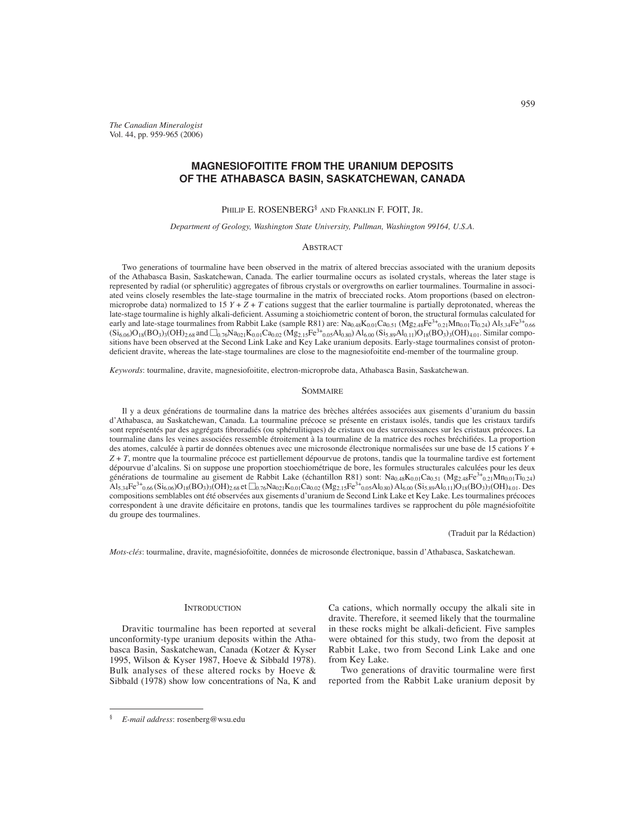*The Canadian Mineralogist* Vol. 44, pp. 959-965 (2006)

# **MAGNESIOFOITITE FROM THE URANIUM DEPOSITS OF THE ATHABASCA BASIN, SASKATCHEWAN, CANADA**

PHILIP E. ROSENBERG<sup>§</sup> AND FRANKLIN F. FOIT, JR.

*Department of Geology, Washington State University, Pullman, Washington 99164, U.S.A.*

## ABSTRACT

Two generations of tourmaline have been observed in the matrix of altered breccias associated with the uranium deposits of the Athabasca Basin, Saskatchewan, Canada. The earlier tourmaline occurs as isolated crystals, whereas the later stage is represented by radial (or spherulitic) aggregates of fibrous crystals or overgrowths on earlier tourmalines. Tourmaline in associated veins closely resembles the late-stage tourmaline in the matrix of brecciated rocks. Atom proportions (based on electronmicroprobe data) normalized to 15  $Y + Z + T$  cations suggest that the earlier tourmaline is partially deprotonated, whereas the late-stage tourmaline is highly alkali-deficient. Assuming a stoichiometric content of boron, the structural formulas calculated for early and late-stage tourmalines from Rabbit Lake (sample R81) are:  $Na_{0.48}K_{0.01}Ca_{0.51} (Mg_{2.48}Fe^{3+}{}_{0.21}Mn_{0.01}Ti_{0.24})$   $Al_{5.34}Fe^{3+}{}_{0.66}$  $(Si_{6.06})O_{18}(BO_3)_{3}(OH)_{2.68}$  and  $\Box_{0.76}Na_{021}K_{0.01}Ca_{0.02}(Mg_{2.15}Fe^{3+}_{0.05}Al_{0.80})$   $Al_{6.00}(Si_{5.89}Al_{0.11})O_{18}(BO_3)_{3}(OH)_{4.01}$ . Similar compositions have been observed at the Second Link Lake and Key Lake uranium deposits. Early-stage tourmalines consist of protondeficient dravite, whereas the late-stage tourmalines are close to the magnesiofoitite end-member of the tourmaline group.

*Keywords*: tourmaline, dravite, magnesiofoitite, electron-microprobe data, Athabasca Basin, Saskatchewan.

### SOMMAIRE

Il y a deux générations de tourmaline dans la matrice des brèches altérées associées aux gisements d'uranium du bassin d'Athabasca, au Saskatchewan, Canada. La tourmaline précoce se présente en cristaux isolés, tandis que les cristaux tardifs sont représentés par des aggrégats fibroradiés (ou sphérulitiques) de cristaux ou des surcroissances sur les cristaux précoces. La tourmaline dans les veines associées ressemble étroitement à la tourmaline de la matrice des roches bréchifiées. La proportion des atomes, calculée à partir de données obtenues avec une microsonde électronique normalisées sur une base de 15 cations *Y* + *Z* + *T*, montre que la tourmaline précoce est partiellement dépourvue de protons, tandis que la tourmaline tardive est fortement dépourvue d'alcalins. Si on suppose une proportion stoechiométrique de bore, les formules structurales calculées pour les deux générations de tourmaline au gisement de Rabbit Lake (échantillon R81) sont:  $\text{Na}_{0.48}\text{K}_{0.01}\text{Ca}_{0.51}$  ( $\text{Mg}_{2.48}\text{Fe}^{3+}$ 0.21) $\text{Mn}_{0.01}\text{Ti}_{0.24}$ )  $\overline{A}I_{5.34}Fe^{3+}_{0.66}(\overline{Si_{6.06}})O_{18}(BO_3)_{3}O(H)_{2.68}$  et  $\overline{O}_{0.76}Na_{0.21}K_{0.01}Ca_{0.02} (Mg_{2.15}Fe^{3+}_{0.05}Al_{0.80})AI_{6.00}(Si_{5.89}Al_{0.11})O_{18}(BO_3)_{3}(OH)_{4.01}$ . Des compositions semblables ont été observées aux gisements d'uranium de Second Link Lake et Key Lake. Les tourmalines précoces correspondent à une dravite déficitaire en protons, tandis que les tourmalines tardives se rapprochent du pôle magnésiofoïtite du groupe des tourmalines.

(Traduit par la Rédaction)

*Mots-clés*: tourmaline, dravite, magnésiofoïtite, données de microsonde électronique, bassin d'Athabasca, Saskatchewan.

#### **INTRODUCTION**

Dravitic tourmaline has been reported at several unconformity-type uranium deposits within the Athabasca Basin, Saskatchewan, Canada (Kotzer & Kyser 1995, Wilson & Kyser 1987, Hoeve & Sibbald 1978). Bulk analyses of these altered rocks by Hoeve & Sibbald (1978) show low concentrations of Na, K and Ca cations, which normally occupy the alkali site in dravite. Therefore, it seemed likely that the tourmaline in these rocks might be alkali-deficient. Five samples were obtained for this study, two from the deposit at Rabbit Lake, two from Second Link Lake and one from Key Lake.

Two generations of dravitic tourmaline were first reported from the Rabbit Lake uranium deposit by

<sup>§</sup> *E-mail address*: rosenberg@wsu.edu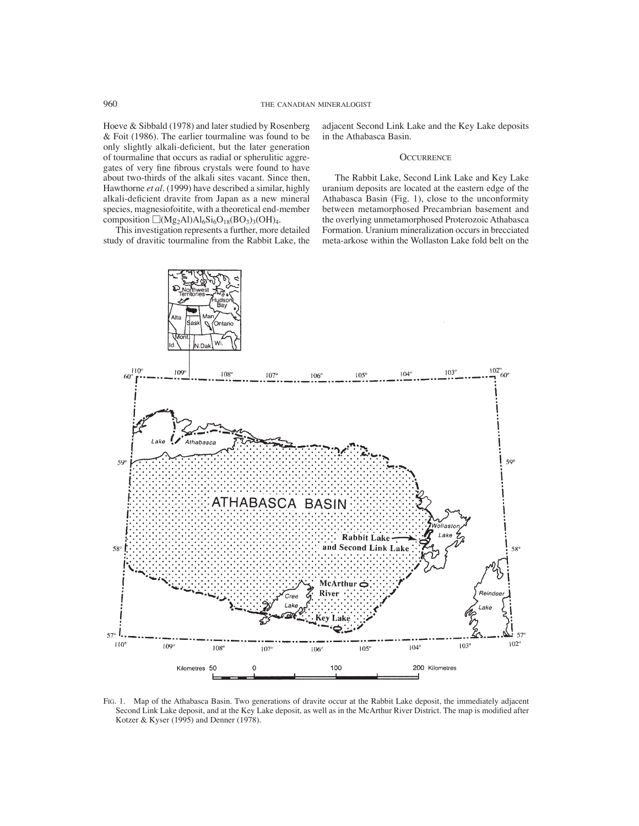Hoeve & Sibbald (1978) and later studied by Rosenberg & Foit (1986). The earlier tourmaline was found to be only slightly alkali-deficient, but the later generation of tourmaline that occurs as radial or spherulitic aggregates of very fine fibrous crystals were found to have about two-thirds of the alkali sites vacant. Since then, Hawthorne *et al.* (1999) have described a similar, highly alkali-deficient dravite from Japan as a new mineral species, magnesiofoitite, with a theoretical end-member composition  $\Box$ (Mg<sub>2</sub>Al)Al<sub>6</sub>Si<sub>6</sub>O<sub>18</sub>(BO<sub>3</sub>)<sub>3</sub>(OH)<sub>4</sub>.

This investigation represents a further, more detailed study of dravitic tourmaline from the Rabbit Lake, the adjacent Second Link Lake and the Key Lake deposits in the Athabasca Basin.

## **OCCURRENCE**

The Rabbit Lake, Second Link Lake and Key Lake uranium deposits are located at the eastern edge of the Athabasca Basin (Fig. 1), close to the unconformity between metamorphosed Precambrian basement and the overlying unmetamorphosed Proterozoic Athabasca Formation. Uranium mineralization occurs in brecciated meta-arkose within the Wollaston Lake fold belt on the



FIG. 1. Map of the Athabasca Basin. Two generations of dravite occur at the Rabbit Lake deposit, the immediately adjacent Second Link Lake deposit, and at the Key Lake deposit, as well as in the McArthur River District. The map is modified after Kotzer & Kyser (1995) and Denner (1978).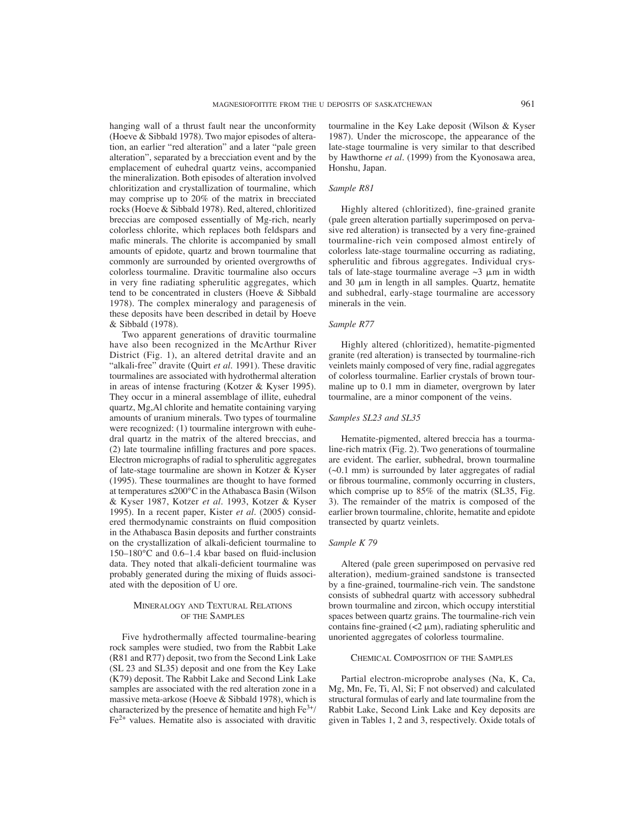hanging wall of a thrust fault near the unconformity (Hoeve & Sibbald 1978). Two major episodes of alteration, an earlier "red alteration" and a later "pale green alteration", separated by a brecciation event and by the emplacement of euhedral quartz veins, accompanied the mineralization. Both episodes of alteration involved chloritization and crystallization of tourmaline, which may comprise up to 20% of the matrix in brecciated rocks (Hoeve & Sibbald 1978). Red, altered, chloritized breccias are composed essentially of Mg-rich, nearly colorless chlorite, which replaces both feldspars and mafic minerals. The chlorite is accompanied by small amounts of epidote, quartz and brown tourmaline that commonly are surrounded by oriented overgrowths of colorless tourmaline. Dravitic tourmaline also occurs in very fine radiating spherulitic aggregates, which tend to be concentrated in clusters (Hoeve & Sibbald 1978). The complex mineralogy and paragenesis of these deposits have been described in detail by Hoeve & Sibbald (1978).

Two apparent generations of dravitic tourmaline have also been recognized in the McArthur River District (Fig. 1), an altered detrital dravite and an "alkali-free" dravite (Quirt *et al.* 1991). These dravitic tourmalines are associated with hydrothermal alteration in areas of intense fracturing (Kotzer & Kyser 1995). They occur in a mineral assemblage of illite, euhedral quartz, Mg,Al chlorite and hematite containing varying amounts of uranium minerals. Two types of tourmaline were recognized: (1) tourmaline intergrown with euhedral quartz in the matrix of the altered breccias, and (2) late tourmaline infilling fractures and pore spaces. Electron micrographs of radial to spherulitic aggregates of late-stage tourmaline are shown in Kotzer & Kyser (1995). These tourmalines are thought to have formed at temperatures ≤200°C in the Athabasca Basin (Wilson & Kyser 1987, Kotzer *et al.* 1993, Kotzer & Kyser 1995). In a recent paper, Kister *et al.* (2005) considered thermodynamic constraints on fluid composition in the Athabasca Basin deposits and further constraints on the crystallization of alkali-deficient tourmaline to  $150-180$ °C and 0.6–1.4 kbar based on fluid-inclusion data. They noted that alkali-deficient tourmaline was probably generated during the mixing of fluids associated with the deposition of U ore.

## MINERALOGY AND TEXTURAL RELATIONS OF THE SAMPLES

Five hydrothermally affected tourmaline-bearing rock samples were studied, two from the Rabbit Lake (R81 and R77) deposit, two from the Second Link Lake (SL 23 and SL35) deposit and one from the Key Lake (K79) deposit. The Rabbit Lake and Second Link Lake samples are associated with the red alteration zone in a massive meta-arkose (Hoeve & Sibbald 1978), which is characterized by the presence of hematite and high  $Fe<sup>3+</sup>/$  $Fe<sup>2+</sup>$  values. Hematite also is associated with dravitic tourmaline in the Key Lake deposit (Wilson & Kyser 1987). Under the microscope, the appearance of the late-stage tourmaline is very similar to that described by Hawthorne *et al.* (1999) from the Kyonosawa area, Honshu, Japan.

## *Sample R81*

Highly altered (chloritized), fine-grained granite (pale green alteration partially superimposed on pervasive red alteration) is transected by a very fine-grained tourmaline-rich vein composed almost entirely of colorless late-stage tourmaline occurring as radiating, spherulitic and fibrous aggregates. Individual crystals of late-stage tourmaline average  $\sim$ 3  $\mu$ m in width and 30  $\mu$ m in length in all samples. Quartz, hematite and subhedral, early-stage tourmaline are accessory minerals in the vein.

### *Sample R77*

Highly altered (chloritized), hematite-pigmented granite (red alteration) is transected by tourmaline-rich veinlets mainly composed of very fine, radial aggregates of colorless tourmaline. Earlier crystals of brown tourmaline up to 0.1 mm in diameter, overgrown by later tourmaline, are a minor component of the veins.

## *Samples SL23 and SL35*

Hematite-pigmented, altered breccia has a tourmaline-rich matrix (Fig. 2). Two generations of tourmaline are evident. The earlier, subhedral, brown tourmaline (~0.1 mm) is surrounded by later aggregates of radial or fibrous tourmaline, commonly occurring in clusters, which comprise up to 85% of the matrix (SL35, Fig. 3). The remainder of the matrix is composed of the earlier brown tourmaline, chlorite, hematite and epidote transected by quartz veinlets.

## *Sample K 79*

Altered (pale green superimposed on pervasive red alteration), medium-grained sandstone is transected by a fine-grained, tourmaline-rich vein. The sandstone consists of subhedral quartz with accessory subhedral brown tourmaline and zircon, which occupy interstitial spaces between quartz grains. The tourmaline-rich vein contains fine-grained  $(< 2 \mu m)$ , radiating spherulitic and unoriented aggregates of colorless tourmaline.

## CHEMICAL COMPOSITION OF THE SAMPLES

Partial electron-microprobe analyses (Na, K, Ca, Mg, Mn, Fe, Ti, Al, Si; F not observed) and calculated structural formulas of early and late tourmaline from the Rabbit Lake, Second Link Lake and Key deposits are given in Tables 1, 2 and 3, respectively. Oxide totals of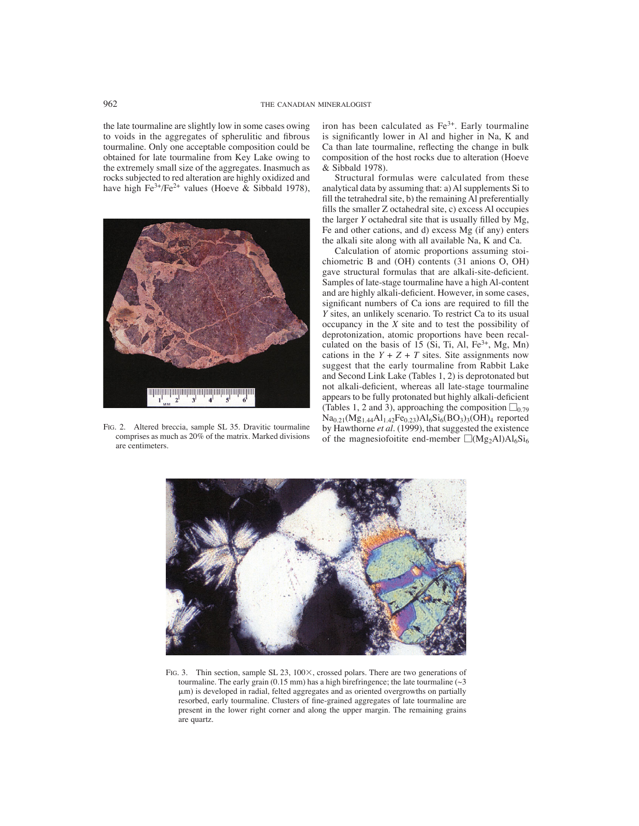the late tourmaline are slightly low in some cases owing to voids in the aggregates of spherulitic and fibrous tourmaline. Only one acceptable composition could be obtained for late tourmaline from Key Lake owing to the extremely small size of the aggregates. Inasmuch as rocks subjected to red alteration are highly oxidized and have high Fe<sup>3+</sup>/Fe<sup>2+</sup> values (Hoeve & Sibbald 1978),



FIG. 2. Altered breccia, sample SL 35. Dravitic tourmaline comprises as much as 20% of the matrix. Marked divisions are centimeters.

iron has been calculated as  $Fe<sup>3+</sup>$ . Early tourmaline is significantly lower in Al and higher in Na, K and Ca than late tourmaline, reflecting the change in bulk composition of the host rocks due to alteration (Hoeve & Sibbald 1978).

Structural formulas were calculated from these analytical data by assuming that: a) Al supplements Si to fill the tetrahedral site, b) the remaining Al preferentially fills the smaller Z octahedral site, c) excess Al occupies the larger  $Y$  octahedral site that is usually filled by  $Mg$ , Fe and other cations, and d) excess Mg (if any) enters the alkali site along with all available Na, K and Ca.

Calculation of atomic proportions assuming stoichiometric B and (OH) contents (31 anions O, OH) gave structural formulas that are alkali-site-deficient. Samples of late-stage tourmaline have a high Al-content and are highly alkali-deficient. However, in some cases, significant numbers of Ca ions are required to fill the *Y* sites, an unlikely scenario. To restrict Ca to its usual occupancy in the *X* site and to test the possibility of deprotonization, atomic proportions have been recalculated on the basis of 15 (Si, Ti, Al,  $Fe<sup>3+</sup>$ , Mg, Mn) cations in the  $Y + Z + T$  sites. Site assignments now suggest that the early tourmaline from Rabbit Lake and Second Link Lake (Tables 1, 2) is deprotonated but not alkali-deficient, whereas all late-stage tourmaline appears to be fully protonated but highly alkali-deficient (Tables 1, 2 and 3), approaching the composition  $\square_{0.79}$  $Na_{0.21}(Mg_{1.44}Al_{1.42}Fe_{0.23})Al_6Si_6(BO_3)_3(OH)_4$  reported by Hawthorne *et al.* (1999), that suggested the existence of the magnesiofoitite end-member  $\Box(Mg_2Al)Al_6Si_6$ 



FIG. 3. Thin section, sample SL 23,  $100 \times$ , crossed polars. There are two generations of tourmaline. The early grain (0.15 mm) has a high birefringence; the late tourmaline ( $\sim$ 3  $\mu$ m) is developed in radial, felted aggregates and as oriented overgrowths on partially resorbed, early tourmaline. Clusters of fine-grained aggregates of late tourmaline are present in the lower right corner and along the upper margin. The remaining grains are quartz.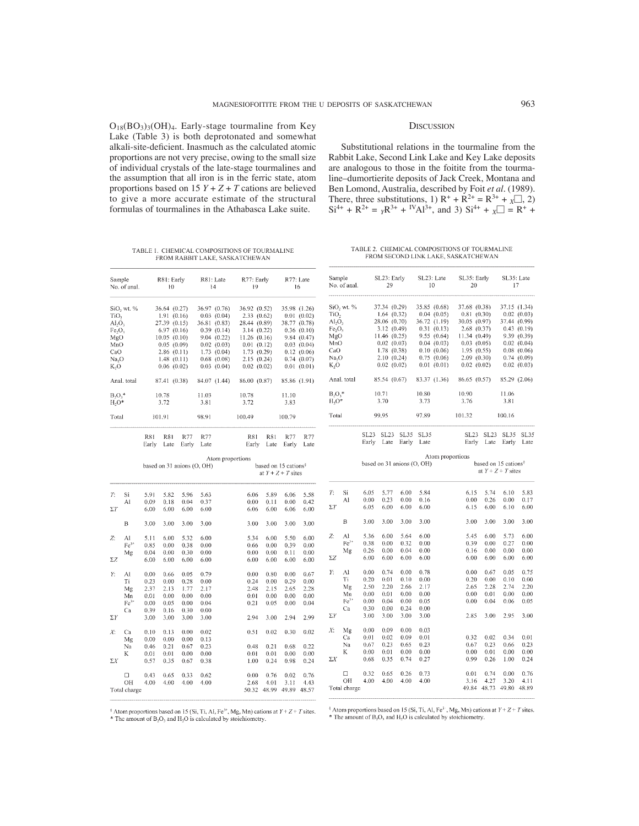$O_{18}(BO_3)_3(OH)_4$ . Early-stage tourmaline from Key Lake (Table 3) is both deprotonated and somewhat alkali-site-deficient. Inasmuch as the calculated atomic proportions are not very precise, owing to the small size of individual crystals of the late-stage tourmalines and the assumption that all iron is in the ferric state, atom proportions based on  $15 Y + Z + T$  cations are believed to give a more accurate estimate of the structural formulas of tourmalines in the Athabasca Lake suite.

TABLE 1. CHEMICAL COMPOSITIONS OF TOURMALINE

FROM RABBIT LAKE, SASKATCHEWAN

R81: Farly

 $\overline{10}$ 

Sample

No. of anal

TABLE 2. CHEMICAL COMPOSITIONS OF TOURMALINE FROM SECOND LINK LAKE, SASKATCHEWAN

R77: Early Sample SL23: Early SL23: Late SL35: Early R77: Late  $R81:1$  ate No. of anal.  $29$ 10 20  $\frac{1}{4}$  $19$ 16  $\mathbf{A}$  $27.21 \times 20.20$  $2505, 5050$ a car

| SiO <sub>2</sub> wt. %<br>TiO,<br>$\text{Al}_2\text{O}_3$<br>Fe,O,<br>MgO<br>MnO<br>CaO<br>Na <sub>2</sub> O<br>K,O<br>Anal. total<br>$B_2O_3$ *<br>$H2O*$ |                                                | 36.64 (0.27)<br>1.91(0.16)<br>27.39 (0.15)<br>6.97(0.16)<br>10.05(0.10)<br>0.05(0.09)<br>2.86(0.11)<br>1.48(0.11)<br>0.06(0.02)<br>87.41 (0.38)<br>10.78<br>3.72 |                                                      |                                                      | 36.97 (0.76)<br>$0.03$ $(0.04)$<br>36.81 (0.83)<br>0.39(0.14)<br>9.04 (0.22)<br>0.02(0.03)<br>1.73(0.04)<br>$0.68$ $(0.08)$<br>$0.03$ $(0.04)$<br>84.07 (1.44)<br>11.03<br>3.81 |                  | 36.92 (0.52)<br>2.33(0.62)<br>28.44 (0.89)<br>3.14(0.22)<br>11.26(0.16)<br>0.01(0.12)<br>1.73(0.29)<br>2.15(0.24)<br>0.02(0.02)<br>86.00 (0.87)<br>10.78<br>3.72 |                                              | 11.10<br>3.83                                            | 35.98 (1.26)<br>0.01(0.02)<br>38.77 (0.78)<br>0.36(0.10)<br>9.84(0.47)<br>$0.03$ $(0.04)$<br>0.12(0.06)<br>0.74(0.07)<br>0.01(0.01)<br>85.86 (1.91) |                  | $SiO2$ wt. %<br>TiO,<br>AI <sub>2</sub> O <sub>3</sub><br>Fe <sub>2</sub> O <sub>3</sub><br>MgO<br>MnO<br>CaO<br>Na.O<br>K,O<br>Anal. total<br>$B, O,^*$<br>$H2O*$ |                                                      | 37.34 (0.29)<br>1.64(0.32)<br>28.06 (0.70)<br>3.12(0.49)<br>11.46(0.25)<br>0.02(0.03)<br>1.78(0.38)<br>2.10(0.24)<br>$0.02$ $(0.02)$<br>85.54 (0.67)<br>10.71<br>3.70 |                                                      | 35.85 (0.68)<br>83.37 (1.36)<br>10.80<br>3.73        | 0.04(0.05)<br>36.72 (1.19)<br>0.31(0.13)<br>9.55(0.64)<br>0.04(0.03)<br>0.10(0.06)<br>0.75(0.06)<br>0.01(0.01) | 37.68 (0.38)<br>0.81(0.30)<br>30.05 (0.97)<br>2.68(0.37)<br>11.34(0.49)<br>0.03(0.05)<br>1.95(0.55)<br>2.09(0.30)<br>0.02(0.02)<br>86.65 (0.57)<br>10.90<br>3.76 |                                              | 37.44 (0.99)<br>11.06<br>3.81                | 37.15 (1.34)<br>0.02(0.03)<br>0.43(0.19)<br>9.39 (0.39)<br>0.02(0.04)<br>0.08(0.06)<br>0.74(0.09)<br>$0.02$ $(0.03)$<br>85.29 (2.06) |
|------------------------------------------------------------------------------------------------------------------------------------------------------------|------------------------------------------------|------------------------------------------------------------------------------------------------------------------------------------------------------------------|------------------------------------------------------|------------------------------------------------------|---------------------------------------------------------------------------------------------------------------------------------------------------------------------------------|------------------|------------------------------------------------------------------------------------------------------------------------------------------------------------------|----------------------------------------------|----------------------------------------------------------|-----------------------------------------------------------------------------------------------------------------------------------------------------|------------------|--------------------------------------------------------------------------------------------------------------------------------------------------------------------|------------------------------------------------------|-----------------------------------------------------------------------------------------------------------------------------------------------------------------------|------------------------------------------------------|------------------------------------------------------|----------------------------------------------------------------------------------------------------------------|------------------------------------------------------------------------------------------------------------------------------------------------------------------|----------------------------------------------|----------------------------------------------|--------------------------------------------------------------------------------------------------------------------------------------|
| Total                                                                                                                                                      |                                                |                                                                                                                                                                  | 101.91                                               |                                                      | 98.91                                                                                                                                                                           |                  | 100.49                                                                                                                                                           |                                              | 100.79                                                   |                                                                                                                                                     | Total            |                                                                                                                                                                    |                                                      | 99.95                                                                                                                                                                 |                                                      | 97.89                                                |                                                                                                                | 101.32                                                                                                                                                           |                                              | 100.16                                       |                                                                                                                                      |
|                                                                                                                                                            |                                                | <b>R81</b><br>Early                                                                                                                                              | R81<br>Late                                          | R77<br>Early                                         | R77<br>Late                                                                                                                                                                     |                  | <b>R81</b><br>Early                                                                                                                                              | R81                                          | R77<br>Late Early                                        | R77<br>Late                                                                                                                                         |                  |                                                                                                                                                                    |                                                      | SL23 SL23 SL35 SL35<br>Early Late Early Late                                                                                                                          |                                                      |                                                      |                                                                                                                |                                                                                                                                                                  | SL23 SL23 SL35 SL35<br>Early Late Early Late |                                              |                                                                                                                                      |
|                                                                                                                                                            |                                                |                                                                                                                                                                  | based on $31$ anions $(O, OH)$                       |                                                      |                                                                                                                                                                                 | Atom proportions |                                                                                                                                                                  |                                              | based on 15 cations <sup>3</sup><br>at $Y + Z + T$ sites |                                                                                                                                                     |                  |                                                                                                                                                                    |                                                      | based on 31 anions (O, OH)                                                                                                                                            |                                                      |                                                      | Atom proportions                                                                                               |                                                                                                                                                                  | based on 15 cations <sup>8</sup>             | at $Y + Z + T$ sites                         |                                                                                                                                      |
| Τ.                                                                                                                                                         | Si<br>Al                                       | 5.91<br>0.09                                                                                                                                                     | 5.82<br>0.18                                         | 5.96<br>0.04                                         | 5.63<br>0.37                                                                                                                                                                    |                  | 6.06<br>0.00                                                                                                                                                     | 5.89<br>0.11                                 | 6.06<br>0.00                                             | 5.58<br>0.42                                                                                                                                        | Т:<br>$\Sigma T$ | -Si<br>Al                                                                                                                                                          | 6.05<br>0.00<br>6.05                                 | 5.77<br>0.23<br>6.00                                                                                                                                                  | 6.00<br>0.00<br>6.00                                 | 5.84<br>0.16<br>6.00                                 |                                                                                                                | 6.15<br>0.00<br>6.15                                                                                                                                             | 5.74<br>0.26<br>6.00                         | 6.10<br>0.00<br>6.10                         | 5.83<br>0.17<br>6.00                                                                                                                 |
| $\Sigma T$                                                                                                                                                 | B                                              | 6.00<br>3.00                                                                                                                                                     | 6.00<br>3.00                                         | 6.00<br>3.00                                         | 6.00<br>3.00                                                                                                                                                                    |                  | 6.06<br>3.00                                                                                                                                                     | 6.00<br>3.00                                 | 6.06<br>3.00                                             | 6.00<br>3.00                                                                                                                                        |                  | В                                                                                                                                                                  | 3.00                                                 | 3.00                                                                                                                                                                  | 3,00                                                 | 3.00                                                 |                                                                                                                | 3.00                                                                                                                                                             | 3.00                                         | 3.00                                         | 3.00                                                                                                                                 |
| Z:<br>Σ7,                                                                                                                                                  | Al<br>$Fe3+$<br>Μg                             | 5.11<br>0.85<br>0.04<br>6.00                                                                                                                                     | 6.00<br>0.00<br>0.00<br>6.00                         | 5.32<br>0.38<br>0.30<br>6.00                         | 6.00<br>0.00<br>0.00<br>6.00                                                                                                                                                    |                  | 5.34<br>0.66<br>0.00<br>6.00                                                                                                                                     | 6.00<br>0.00<br>0.00<br>6.00                 | 5.50<br>0.39<br>0.11<br>6.00                             | 6.00<br>0.00<br>0.00<br>6.00                                                                                                                        | Z:<br>ΣΖ         | Al<br>$Fe3+$<br>Mg                                                                                                                                                 | 5.36<br>0.38<br>0.26<br>6.00                         | 6.00<br>0.00<br>0.00<br>6.00                                                                                                                                          | 5.64<br>0.32<br>0.04<br>6.00                         | 6.00<br>0.00<br>0.00<br>6.00                         |                                                                                                                | 5.45<br>0.39<br>0.16<br>6.00                                                                                                                                     | 6.00<br>0.00<br>0.00<br>6.00                 | 5.73<br>0.27<br>0.00<br>6.00                 | 6.00<br>0.00<br>0.00<br>6.00                                                                                                         |
| Y:<br>$\Sigma Y$                                                                                                                                           | Al<br>Τi<br>Mg<br>Mn<br>Fe <sup>34</sup><br>Ca | 0.00<br>0.23<br>2.37<br>0.01<br>0.00<br>0.39<br>3.00                                                                                                             | 0.66<br>0.00<br>2.13<br>0.00<br>0.05<br>0.16<br>3.00 | 0.05<br>0.28<br>1.77<br>0.00<br>0.00<br>0.30<br>3.00 | 0.79<br>0.00<br>2.17<br>0.00<br>0.04<br>0.00<br>3.00                                                                                                                            |                  | 0.00<br>0.24<br>2.48<br>0.01<br>0.21<br>2.94                                                                                                                     | 0.80<br>0.00<br>2.15<br>0.00<br>0.05<br>3.00 | 0.00<br>0.29<br>2.65<br>0.00<br>0.00<br>2.94             | 0.67<br>0.00<br>2.28<br>0.00<br>0.04<br>2.99                                                                                                        | Υ.<br>ΣΥ         | Al<br>Ti<br>Mg<br>Mn<br>Fe <sup>31</sup><br>Ca                                                                                                                     | 0.00<br>0.20<br>2.50<br>0.00<br>0.00<br>0.30<br>3.00 | 0.74<br>0.01<br>2.20<br>0.01<br>0.04<br>0.00<br>3.00                                                                                                                  | 0.00<br>0.10<br>2.66<br>0.00<br>0.00<br>0.24<br>3.00 | 0.78<br>0.00<br>2.17<br>0.00<br>0.05<br>0.00<br>3.00 |                                                                                                                | 0.00<br>0.20<br>2.65<br>0.00<br>0.00<br>2.85                                                                                                                     | 0.67<br>0.00<br>2.28<br>0.01<br>0.04<br>3.00 | 0.05<br>0.10<br>2.74<br>0.00<br>0.06<br>2.95 | 0.75<br>0.00<br>2.20<br>0.00<br>0.05<br>3.00                                                                                         |
| Х:<br>$\Sigma X$                                                                                                                                           | Ca<br>Mg<br>Na<br>K                            | 0.10<br>0.00<br>0.46<br>0.01<br>0.57                                                                                                                             | 0.13<br>0.00<br>0.21<br>0.01<br>0.35                 | 0.00<br>0.00<br>0.67<br>0.00<br>0.67                 | 0.02<br>0.13<br>0.23<br>0.00<br>0.38                                                                                                                                            |                  | 0.51<br>0.48<br>0.01<br>1.00                                                                                                                                     | 0.02<br>0.21<br>0.01<br>0.24                 | 0.30<br>0.68<br>0.00<br>0.98                             | 0.02<br>0.22<br>0.00<br>0.24                                                                                                                        | X:<br>ΣΧ         | Mg<br>Ca<br>Na<br>K                                                                                                                                                | 0.00<br>0.01<br>0.67<br>0.00<br>0.68                 | 0.09<br>0.02<br>0.23<br>0.01<br>0.35                                                                                                                                  | 0.00<br>0.09<br>0.65<br>0.00<br>0.74                 | 0.03<br>0.01<br>0.23<br>0.00<br>0.27                 |                                                                                                                | 0.32<br>0.67<br>0.00<br>0.99                                                                                                                                     | 0.02<br>0.23<br>0.01<br>0.26                 | 0.34<br>0.66<br>0.00<br>1.00                 | 0.01<br>0.23<br>0.00<br>0.24                                                                                                         |
|                                                                                                                                                            | O<br>OН<br>Total charge                        | 0.43<br>4.00                                                                                                                                                     | 0.65<br>4.00                                         | 0.33<br>4.00                                         | 0.62<br>4.00                                                                                                                                                                    |                  | 0.00<br>2.68                                                                                                                                                     | 0.76<br>4.01                                 | 0.02<br>3.11<br>50.32 48.99 49.89 48.57                  | 0.76<br>4.43                                                                                                                                        |                  | $\Box$<br>OH<br>Total charge                                                                                                                                       | 0.32<br>4.00                                         | 0.65<br>4.00                                                                                                                                                          | 0.26<br>4.00                                         | 0.73<br>4.00                                         |                                                                                                                | 0.01<br>3.16                                                                                                                                                     | 0.74<br>4.27<br>49.84 48.73 49.80            | 0.00<br>3.20                                 | 0.76<br>4.11<br>48.89                                                                                                                |

<sup>§</sup> Atom proportions based on 15 (Si, Ti, Al, Fe<sup>3+</sup>, Mg, Mn) cations at  $Y + Z + T$  sites. \* The amount of B<sub>2</sub>O<sub>3</sub> and H<sub>2</sub>O is calculated by stoichiometry.

 $\frac{1}{2}$  Atom proportions based on 15 (Si, Ti, Al, Fe<sup>3</sup>, Mg, Mn) cations at  $Y + Z + T$  sites. \* The amount of  $B_2O_3$  and  $H_2O$  is calculated by stoichiometry.

SL35: Late

 $17$ 

37.15 (1.34)

# **DISCUSSION**

Substitutional relations in the tourmaline from the Rabbit Lake, Second Link Lake and Key Lake deposits are analogous to those in the foitite from the tourmaline–dumortierite deposits of Jack Creek, Montana and Ben Lomond, Australia, described by Foit *et al.* (1989). There, three substitutions, 1)  $R^+ + R^{2+} = R^{3+} + \chi$ , 2)  $Si^{4+} + R^{2+} = \gamma R^{3+} + {}^{IV}Al^{3+}$ , and 3)  $Si^{4+} + \gamma = R^+ +$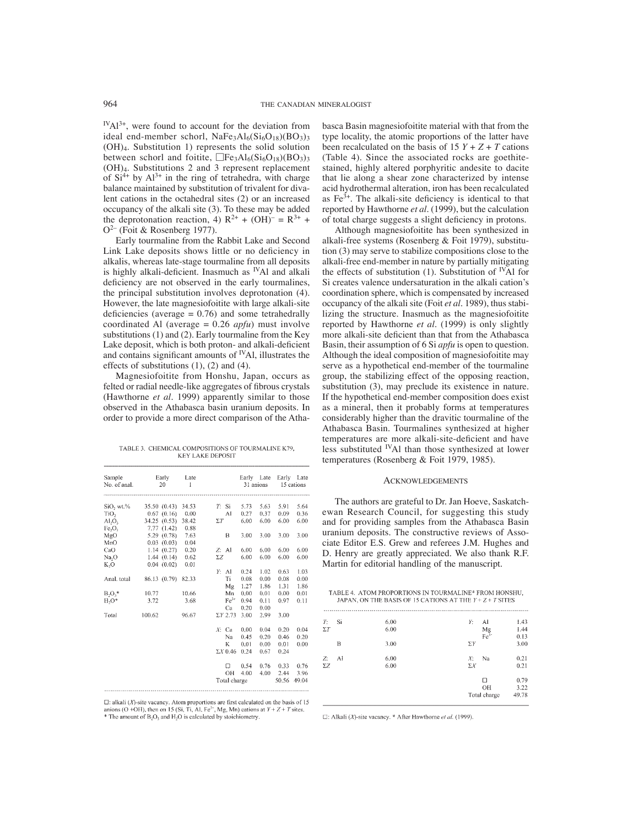$I^{V}Al^{3+}$ , were found to account for the deviation from ideal end-member schorl,  $NaFe<sub>3</sub>Al<sub>6</sub>(Si<sub>6</sub>O<sub>18</sub>)(BO<sub>3</sub>)<sub>3</sub>$ (OH)4. Substitution 1) represents the solid solution between schorl and foitite,  $\Box \text{Fe}_3\text{Al}_6(\text{Si}_6\text{O}_{18})(\text{BO}_3)_{3}$ (OH)4. Substitutions 2 and 3 represent replacement of  $Si^{4+}$  by  $Al^{3+}$  in the ring of tetrahedra, with charge balance maintained by substitution of trivalent for divalent cations in the octahedral sites (2) or an increased occupancy of the alkali site (3). To these may be added the deprotonation reaction, 4)  $R^{2+} + (OH)^{-} = R^{3+} +$  $Q^{2-}$  (Foit & Rosenberg 1977).

Early tourmaline from the Rabbit Lake and Second Link Lake deposits shows little or no deficiency in alkalis, whereas late-stage tourmaline from all deposits is highly alkali-deficient. Inasmuch as  $\emph{v}$ Al and alkali deficiency are not observed in the early tourmalines, the principal substitution involves deprotonation (4). However, the late magnesiofoitite with large alkali-site deficiencies (average  $= 0.76$ ) and some tetrahedrally coordinated Al (average = 0.26 *apfu*) must involve substitutions (1) and (2). Early tourmaline from the Key Lake deposit, which is both proton- and alkali-deficient and contains significant amounts of  $\rm NAI$ , illustrates the effects of substitutions (1), (2) and (4).

Magnesiofoitite from Honshu, Japan, occurs as felted or radial needle-like aggregates of fibrous crystals (Hawthorne *et al.* 1999) apparently similar to those observed in the Athabasca basin uranium deposits. In order to provide a more direct comparison of the Atha-

TABLE 3. CHEMICAL COMPOSITIONS OF TOURMALINE K79, **KEY LAKE DEPOSIT** 

| Sample<br>No. of anal.            | Early Late<br>20  | $\mathbf{I}$ |            |                 | Early Late<br>31 anions |      | Early Late<br>15 cations |       |
|-----------------------------------|-------------------|--------------|------------|-----------------|-------------------------|------|--------------------------|-------|
|                                   |                   |              |            |                 |                         |      |                          |       |
| SiO <sub>2</sub> wt. <sub>%</sub> | 35.50 (0.43)      | 34.53        | $T$ :      | Si              | 5.73                    | 5.63 | 5.91                     | 5.64  |
| TiO <sub>2</sub>                  | 0.67(0.16)        | 0.00         |            | Al              | 0.27                    | 0.37 | 0.09                     | 0.36  |
| $AI_2O_3$                         | 34.25(0.53)       | 38.42        | $\Sigma T$ |                 | 6.00                    | 6.00 | 6.00                     | 6.00  |
| Fe <sub>2</sub> O <sub>3</sub>    | 7.77(1.42)        | 0.88         |            |                 |                         |      |                          |       |
| MgO                               | 5.29(0.78)        | 7.63         |            | 8               | 3.00                    | 3.00 | 3.00                     | 3.00  |
| MnO                               | $0.03(0.03)$ 0.04 |              |            |                 |                         |      |                          |       |
| CaO                               | 1.14(0.27)        | 0.20         | $Z:$ Al    |                 | 6.00                    | 6.00 | 6.00                     | 6.00  |
| Na <sub>2</sub> O                 | 1.44(0.14)        | 0.62         | ΣΖ         |                 | 6.00                    | 6.00 | 6.00                     | 6.00  |
| K,O                               | 0.04(0.02)        | 0.01         |            |                 |                         |      |                          |       |
|                                   |                   |              | Y: A1      |                 | 0.24                    | 1.02 | 0.63                     | 1.03  |
| Anal. total                       | 86.13 (0.79)      | 82.33        |            | Ti              | 0.08                    | 0.00 | 0.08                     | 0.00  |
|                                   |                   |              |            | Mg              | 1.27                    | 1.86 | 1.31                     | 1.86  |
| $B_2O_3$ *<br>10.77               |                   | 10.66        |            | Mn              | 0.00                    | 0.01 | 0.00                     | 0.01  |
| $H_2O^*$<br>3.72                  |                   | 3.68         |            | $Fe3+$          | 0.94                    | 0.11 | 0.97                     | 0.11  |
|                                   |                   |              |            | Ca              | 0.20                    | 0.00 |                          |       |
| 100.62<br>Total                   |                   | 96.67        |            | $\Sigma Y$ 2.73 | 3.00                    | 2.99 | 3.00                     |       |
|                                   |                   |              | $X:$ Ca    |                 | 0.00                    | 0.04 | 0.20                     | 0.04  |
|                                   |                   |              |            | Na              | 0.45                    | 0.20 | 0.46                     | 0.20  |
|                                   |                   |              |            | K               | 0.01                    | 0.00 | 0.01                     | 0.00  |
|                                   |                   |              |            | $\Sigma X$ 0.46 | 0.24                    | 0.67 | 0.24                     |       |
|                                   |                   |              |            | а               | 0.54                    | 0.76 | 0.33                     | 0.76  |
|                                   |                   |              |            | OН              | 4.00                    | 4.00 | 2.44                     | 3.96  |
|                                   |                   |              |            | Total charge    |                         |      | 50.56                    | 49.04 |

 $□$ : alkali (*X*)-site vacancy. Atom proportions are first calculated on the basis of 15 anions (O +OH), then on 15 (Si, Ti, Al, Fe<sup>3-</sup>, Mg, Mn) cations at *Y* + *Z* + *T* sites. \* The amount of B<sub>3</sub>O<sub>3</sub> and H<sub>2</sub>O is ca

basca Basin magnesiofoitite material with that from the type locality, the atomic proportions of the latter have been recalculated on the basis of  $15 Y + Z + T$  cations (Table 4). Since the associated rocks are goethitestained, highly altered porphyritic andesite to dacite that lie along a shear zone characterized by intense acid hydrothermal alteration, iron has been recalculated as  $Fe<sup>3+</sup>$ . The alkali-site deficiency is identical to that reported by Hawthorne *et al.* (1999), but the calculation of total charge suggests a slight deficiency in protons.

Although magnesiofoitite has been synthesized in alkali-free systems (Rosenberg & Foit 1979), substitution (3) may serve to stabilize compositions close to the alkali-free end-member in nature by partially mitigating the effects of substitution (1). Substitution of <sup>IV</sup>Al for Si creates valence undersaturation in the alkali cation's coordination sphere, which is compensated by increased occupancy of the alkali site (Foit *et al.* 1989), thus stabilizing the structure. Inasmuch as the magnesiofoitite reported by Hawthorne *et al.* (1999) is only slightly more alkali-site deficient than that from the Athabasca Basin, their assumption of 6 Si *apfu* is open to question. Although the ideal composition of magnesiofoitite may serve as a hypothetical end-member of the tourmaline group, the stabilizing effect of the opposing reaction, substitution (3), may preclude its existence in nature. If the hypothetical end-member composition does exist as a mineral, then it probably forms at temperatures considerably higher than the dravitic tourmaline of the Athabasca Basin. Tourmalines synthesized at higher temperatures are more alkali-site-deficient and have less substituted IVAl than those synthesized at lower temperatures (Rosenberg & Foit 1979, 1985).

## **ACKNOWLEDGEMENTS**

The authors are grateful to Dr. Jan Hoeve, Saskatchewan Research Council, for suggesting this study and for providing samples from the Athabasca Basin uranium deposits. The constructive reviews of Associate Editor E.S. Grew and referees J.M. Hughes and D. Henry are greatly appreciated. We also thank R.F. Martin for editorial handling of the manuscript.

|                        |              | TABLE 4. ATOM PROPORTIONS IN TOURMALINE* FROM HONSHU,<br>JAPAN, ON THE BASIS OF 15 CATIONS AT THE $Y + Z + T$ SITES |                       |
|------------------------|--------------|---------------------------------------------------------------------------------------------------------------------|-----------------------|
| Si<br>T:<br>$\Sigma T$ | 6.00<br>6.00 | Y: -<br>Al<br>Mg<br>Fe <sup>3</sup>                                                                                 | 1.43<br>1.44<br>0.13  |
| в                      | 3.00         | $\Sigma Y$                                                                                                          | 3.00                  |
| AI<br>Z:<br>$\Sigma Z$ | 6.00<br>6.00 | Na<br>Y.<br>$\Sigma X$                                                                                              | 0.21<br>0.21          |
|                        |              | п<br>OH<br>Total charge                                                                                             | 0.79<br>3.22<br>49.78 |

 $\Box$ : Alkali (X)-site vacancy. \* After Hawthorne et al. (1999).